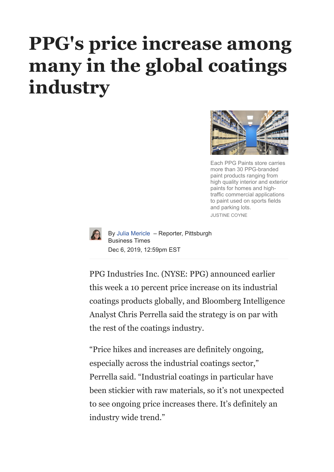## **[PPG's price increase among](https://www.bizjournals.com/#) many in the global coatings industry**



Each PPG Paints store carries more than 30 PPG-branded paint products ranging from high quality interior and exterior paints for homes and hightraffic commercial applications to paint used on sports fields and parking lots. JUSTINE COYNE



By Julia [Mericle](https://www.bizjournals.com/pittsburgh/bio/40147/Julia+Mericle) – Reporter, Pittsburgh Business Times Dec 6, 2019, 12:59pm EST

PPG Industries Inc. (NYSE: PPG) announced earlier this week a 10 percent price increase on its industrial coatings products globally, and Bloomberg Intelligence Analyst Chris Perrella said the strategy is on par with the rest of the coatings industry.

"Price hikes and increases are definitely ongoing, especially across the industrial coatings sector," Perrella said. "Industrial coatings in particular have been stickier with raw materials, so it's not unexpected to see ongoing price increases there. It's definitely an industry wide trend."